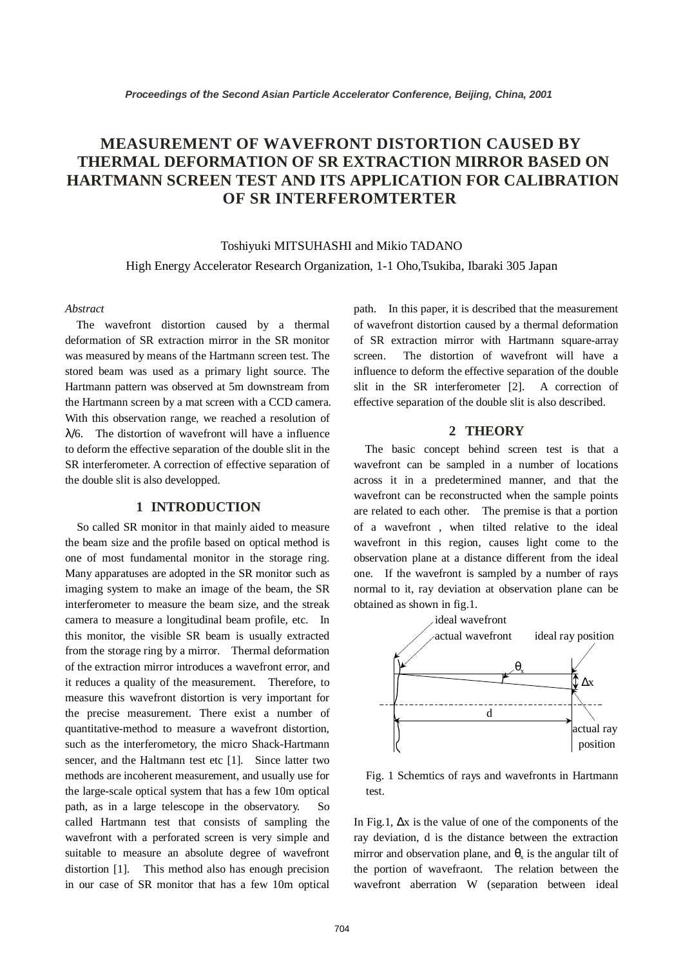# **MEASUREMENT OF WAVEFRONT DISTORTION CAUSED BY THERMAL DEFORMATION OF SR EXTRACTION MIRROR BASED ON HARTMANN SCREEN TEST AND ITS APPLICATION FOR CALIBRATION OF SR INTERFEROMTERTER**

Toshiyuki MITSUHASHI and Mikio TADANO High Energy Accelerator Research Organization, 1-1 Oho,Tsukiba, Ibaraki 305 Japan

#### *Abstract*

 The wavefront distortion caused by a thermal deformation of SR extraction mirror in the SR monitor was measured by means of the Hartmann screen test. The stored beam was used as a primary light source. The Hartmann pattern was observed at 5m downstream from the Hartmann screen by a mat screen with a CCD camera. With this observation range, we reached a resolution of  $\lambda$ /6. The distortion of wavefront will have a influence to deform the effective separation of the double slit in the SR interferometer. A correction of effective separation of the double slit is also developped.

## **1 INTRODUCTION**

 So called SR monitor in that mainly aided to measure the beam size and the profile based on optical method is one of most fundamental monitor in the storage ring. Many apparatuses are adopted in the SR monitor such as imaging system to make an image of the beam, the SR interferometer to measure the beam size, and the streak camera to measure a longitudinal beam profile, etc. In this monitor, the visible SR beam is usually extracted from the storage ring by a mirror. Thermal deformation of the extraction mirror introduces a wavefront error, and it reduces a quality of the measurement. Therefore, to measure this wavefront distortion is very important for the precise measurement. There exist a number of quantitative-method to measure a wavefront distortion, such as the interferometory, the micro Shack-Hartmann sencer, and the Haltmann test etc [1]. Since latter two methods are incoherent measurement, and usually use for the large-scale optical system that has a few 10m optical path, as in a large telescope in the observatory. So called Hartmann test that consists of sampling the wavefront with a perforated screen is very simple and suitable to measure an absolute degree of wavefront distortion [1]. This method also has enough precision in our case of SR monitor that has a few 10m optical

path. In this paper, it is described that the measurement of wavefront distortion caused by a thermal deformation of SR extraction mirror with Hartmann square-array screen. The distortion of wavefront will have a influence to deform the effective separation of the double slit in the SR interferometer [2]. A correction of effective separation of the double slit is also described.

#### **2 THEORY**

 The basic concept behind screen test is that a wavefront can be sampled in a number of locations across it in a predetermined manner, and that the wavefront can be reconstructed when the sample points are related to each other. The premise is that a portion of a wavefront , when tilted relative to the ideal wavefront in this region, causes light come to the observation plane at a distance different from the ideal one. If the wavefront is sampled by a number of rays normal to it, ray deviation at observation plane can be obtained as shown in fig.1.



Fig. 1 Schemtics of rays and wavefronts in Hartmann test.

In Fig.1, ∆x is the value of one of the components of the ray deviation, d is the distance between the extraction mirror and observation plane, and  $\theta_x$  is the angular tilt of the portion of wavefraont. The relation between the wavefront aberration W (separation between ideal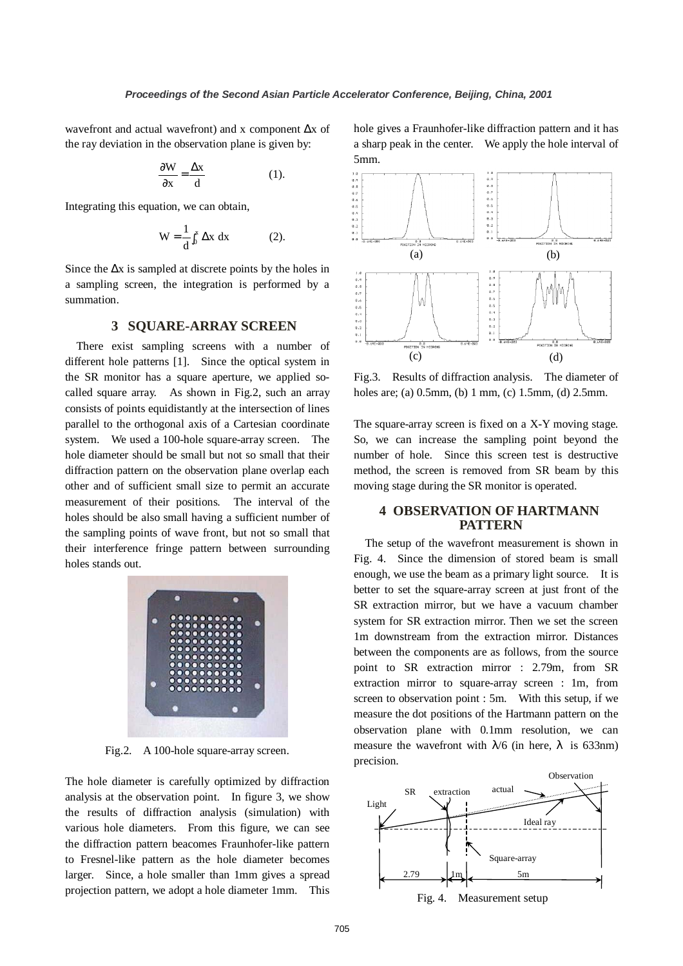wavefront and actual wavefront) and x component ∆x of the ray deviation in the observation plane is given by:

$$
\frac{\partial W}{\partial x} = \frac{\Delta x}{d} \tag{1}
$$

Integrating this equation, we can obtain,

$$
W = \frac{1}{d} \int_0^x \Delta x \, dx \tag{2}.
$$

Since the  $\Delta x$  is sampled at discrete points by the holes in a sampling screen, the integration is performed by a summation.

#### **3 SQUARE-ARRAY SCREEN**

 There exist sampling screens with a number of different hole patterns [1]. Since the optical system in the SR monitor has a square aperture, we applied socalled square array. As shown in Fig.2, such an array consists of points equidistantly at the intersection of lines parallel to the orthogonal axis of a Cartesian coordinate system. We used a 100-hole square-array screen. The hole diameter should be small but not so small that their diffraction pattern on the observation plane overlap each other and of sufficient small size to permit an accurate measurement of their positions. The interval of the holes should be also small having a sufficient number of the sampling points of wave front, but not so small that their interference fringe pattern between surrounding holes stands out.



Fig.2. A 100-hole square-array screen.

The hole diameter is carefully optimized by diffraction analysis at the observation point. In figure 3, we show the results of diffraction analysis (simulation) with various hole diameters. From this figure, we can see the diffraction pattern beacomes Fraunhofer-like pattern to Fresnel-like pattern as the hole diameter becomes larger. Since, a hole smaller than 1mm gives a spread projection pattern, we adopt a hole diameter 1mm. This hole gives a Fraunhofer-like diffraction pattern and it has a sharp peak in the center. We apply the hole interval of 5mm.



Fig.3. Results of diffraction analysis. The diameter of holes are; (a) 0.5mm, (b) 1 mm, (c) 1.5mm, (d) 2.5mm.

The square-array screen is fixed on a X-Y moving stage. So, we can increase the sampling point beyond the number of hole. Since this screen test is destructive method, the screen is removed from SR beam by this moving stage during the SR monitor is operated.

### **4 OBSERVATION OF HARTMANN PATTERN**

 The setup of the wavefront measurement is shown in Fig. 4. Since the dimension of stored beam is small enough, we use the beam as a primary light source. It is better to set the square-array screen at just front of the SR extraction mirror, but we have a vacuum chamber system for SR extraction mirror. Then we set the screen 1m downstream from the extraction mirror. Distances between the components are as follows, from the source point to SR extraction mirror : 2.79m, from SR extraction mirror to square-array screen : 1m, from screen to observation point : 5m. With this setup, if we measure the dot positions of the Hartmann pattern on the observation plane with 0.1mm resolution, we can measure the wavefront with  $\lambda/6$  (in here,  $\lambda$  is 633nm) precision.



Fig. 4. Measurement setup